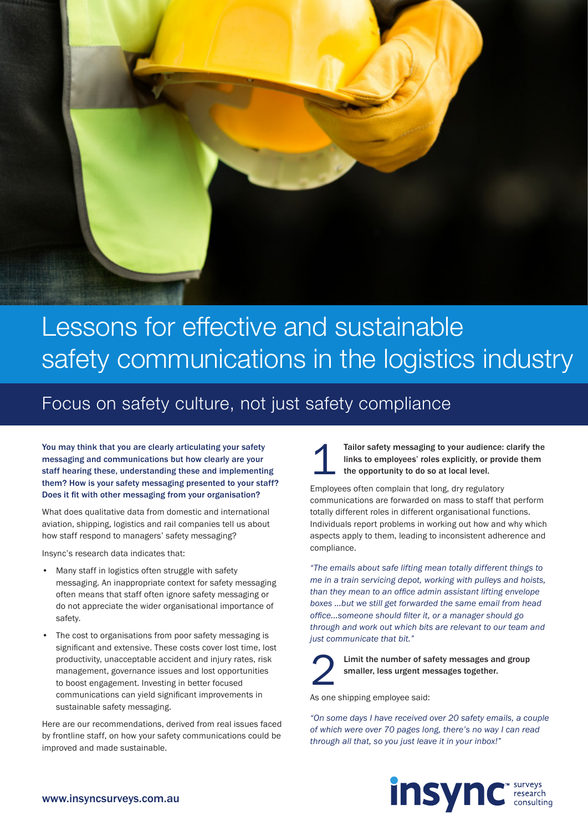

## Lessons for effective and sustainable Lessons for effective and sustainable safety communications in the logistics industry safety communications in the logistics industry

### Focus on safety culture, not just safety compliance

You may think that you are clearly articulating your safety messaging and communications but how clearly are your staff hearing these, understanding these and implementing them? How is your safety messaging presented to your staff? Does it fit with other messaging from your organisation?

What does qualitative data from domestic and international aviation, shipping, logistics and rail companies tell us about how staff respond to managers' safety messaging?

Insync's research data indicates that:

- Many staff in logistics often struggle with safety messaging. An inappropriate context for safety messaging often means that staff often ignore safety messaging or do not appreciate the wider organisational importance of safety.
- The cost to organisations from poor safety messaging is significant and extensive. These costs cover lost time, lost productivity, unacceptable accident and injury rates, risk management, governance issues and lost opportunities to boost engagement. Investing in better focused communications can yield significant improvements in sustainable safety messaging.

Here are our recommendations, derived from real issues faced by frontline staff, on how your safety communications could be improved and made sustainable.

Tailor safety messaging to your audience: clarify the links to employees' roles explicitly, or provide them the opportunity to do so at local level. 1

Employees often complain that long, dry regulatory communications are forwarded on mass to staff that perform totally different roles in different organisational functions. Individuals report problems in working out how and why which aspects apply to them, leading to inconsistent adherence and compliance.

*"The emails about safe lifting mean totally different things to me in a train servicing depot, working with pulleys and hoists, than they mean to an office admin assistant lifting envelope boxes …but we still get forwarded the same email from head office...someone should filter it, or a manager should go through and work out which bits are relevant to our team and just communicate that bit."*



Limit the number of safety messages and group smaller, less urgent messages together.

As one shipping employee said:

*"On some days I have received over 20 safety emails, a couple of which were over 70 pages long, there's no way I can read through all that, so you just leave it in your inbox!"*